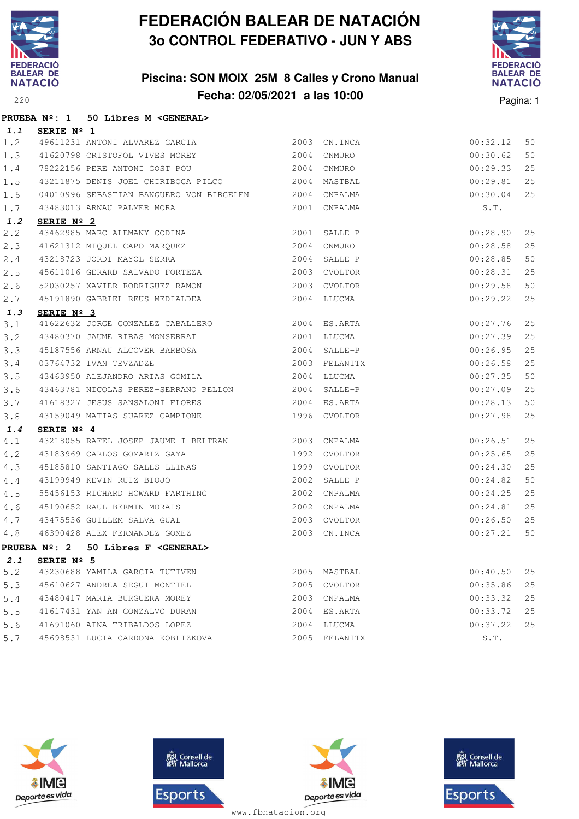

### **Piscina: SON MOIX 25M 8 Calles y Crono Manual Fecha: 02/05/2021 a las 10:00**<sup>220</sup> Pagina: 1



|     |                     | PRUEBA Nº: 1 50 Libres M < GENERAL>                                                        |      |               |          |    |
|-----|---------------------|--------------------------------------------------------------------------------------------|------|---------------|----------|----|
| 1.1 | SERIE Nº 1          |                                                                                            |      |               |          |    |
| 1.2 |                     | 49611231 ANTONI ALVAREZ GARCIA                                                             |      | 2003 CN. INCA | 00:32.12 | 50 |
| 1.3 |                     | 41620798 CRISTOFOL VIVES MOREY 2004                                                        |      | CNMURO        | 00:30.62 | 50 |
| 1.4 |                     | 78222156 PERE ANTONI GOST POU 2004 CNMURO                                                  |      |               | 00:29.33 | 25 |
| 1.5 |                     | 43211875 DENIS JOEL CHIRIBOGA PILCO                                                        |      | 2004 MASTBAL  | 00:29.81 | 25 |
| 1.6 |                     | 04010996 SEBASTIAN BANGUERO VON BIRGELEN 2004 CNPALMA                                      |      |               | 00:30.04 | 25 |
| 1.7 |                     | 43483013 ARNAU PALMER MORA                                                                 |      | 2001 CNPALMA  | S.T.     |    |
| 1.2 | SERIE Nº 2          |                                                                                            |      |               |          |    |
| 2.2 |                     |                                                                                            |      | 2001 SALLE-P  | 00:28.90 | 25 |
| 2.3 |                     |                                                                                            |      | 2004 CNMURO   | 00:28.58 | 25 |
| 2.4 |                     | 43462985 MARC ALEMANY CODINA<br>41621312 MIQUEL CAPO MARQUEZ<br>43218723 JORDI MAYOL SERRA |      | 2004 SALLE-P  | 00:28.85 | 50 |
| 2.5 |                     | 45611016 GERARD SALVADO FORTEZA                                                            |      | 2003 CVOLTOR  | 00:28.31 | 25 |
| 2.6 |                     | 52030257 XAVIER RODRIGUEZ RAMON                                                            |      | 2003 CVOLTOR  | 00:29.58 | 50 |
| 2.7 |                     | 45191890 GABRIEL REUS MEDIALDEA                                                            |      | 2004 LLUCMA   | 00:29.22 | 25 |
| 1.3 | SERIE Nº 3          |                                                                                            |      |               |          |    |
| 3.1 |                     |                                                                                            |      |               | 00:27.76 | 25 |
| 3.2 |                     | 43480370 JAUME RIBAS MONSERRAT 2001 LLUCMA                                                 |      |               | 00:27.39 | 25 |
| 3.3 |                     |                                                                                            |      |               | 00:26.95 | 25 |
| 3.4 |                     |                                                                                            |      |               | 00:26.58 | 25 |
| 3.5 |                     | 43463950 ALEJANDRO ARIAS GOMILA 2004 LLUCMA                                                |      |               | 00:27.35 | 50 |
| 3.6 |                     | 43463781 NICOLAS PEREZ-SERRANO PELLON 2004 SALLE-P                                         |      |               | 00:27.09 | 25 |
| 3.7 |                     | 41618327 JESUS SANSALONI FLORES 2004 ES.ARTA                                               |      |               | 00:28.13 | 50 |
| 3.8 |                     | 43159049 MATIAS SUAREZ CAMPIONE                                                            |      | 1996 CVOLTOR  | 00:27.98 | 25 |
| 1.4 | SERIE $N^{\circ}$ 4 |                                                                                            |      |               |          |    |
| 4.1 |                     | 43218055 RAFEL JOSEP JAUME I BELTRAN 2003 CNPALMA                                          |      |               | 00:26.51 | 25 |
| 4.2 |                     | 43183969 CARLOS GOMARIZ GAYA 2992                                                          |      | CVOLTOR       | 00:25.65 | 25 |
| 4.3 |                     | 45185810 SANTIAGO SALES LLINAS<br>43199949 KEVIN RUIZ BIOJO                                |      | 1999 CVOLTOR  | 00:24.30 | 25 |
| 4.4 |                     |                                                                                            |      | 2002 SALLE-P  | 00:24.82 | 50 |
| 4.5 |                     | 55456153 RICHARD HOWARD FARTHING                                                           | 2002 | CNPALMA       | 00:24.25 | 25 |
| 4.6 |                     |                                                                                            |      | 2002 CNPALMA  | 00:24.81 | 25 |
| 4.7 |                     | 45190652 RAUL BERMIN MORAIS<br>43475536 GUILLEM SALVA GUAL                                 |      | 2003 CVOLTOR  | 00:26.50 | 25 |
| 4.8 |                     | 46390428 ALEX FERNANDEZ GOMEZ                                                              | 2003 | CN.INCA       | 00:27.21 | 50 |
|     |                     | PRUEBA Nº: 2 50 Libres F < GENERAL>                                                        |      |               |          |    |
| 2.1 | SERIE $N^{\circ}$ 5 |                                                                                            |      |               |          |    |
| 5.2 |                     | 43230688 YAMILA GARCIA TUTIVEN                                                             |      | 2005 MASTBAL  | 00:40.50 | 25 |
| 5.3 |                     | 45610627 ANDREA SEGUI MONTIEL                                                              | 2005 | CVOLTOR       | 00:35.86 | 25 |
| 5.4 |                     | 43480417 MARIA BURGUERA MOREY                                                              |      | 2003 CNPALMA  | 00:33.32 | 25 |
| 5.5 |                     | 41617431 YAN AN GONZALVO DURAN                                                             | 2004 | ES.ARTA       | 00:33.72 | 25 |
| 5.6 |                     | 41691060 AINA TRIBALDOS LOPEZ                                                              | 2004 | LLUCMA        | 00:37.22 | 25 |
| 5.7 |                     | 45698531 LUCIA CARDONA KOBLIZKOVA                                                          |      | 2005 FELANITX | S.T.     |    |







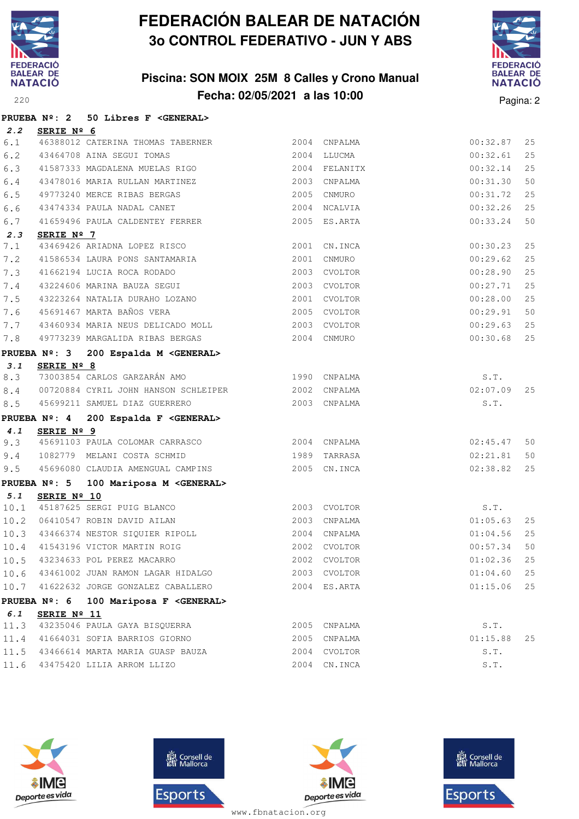

### **Piscina: SON MOIX 25M 8 Calles y Crono Manual Fecha: 02/05/2021 a las 10:00** Pagina: 2



|      |             | PRUEBA Nº: 2 50 Libres F <general></general>              |               |               |    |
|------|-------------|-----------------------------------------------------------|---------------|---------------|----|
| 2.2  | SERIE Nº 6  |                                                           |               |               |    |
| 6.1  |             | 46388012 CATERINA THOMAS TABERNER<br>$$\tt 2004$$ CNPALMA |               | 00:32.87      | 25 |
| 6.2  |             | 43464708 AINA SEGUI TOMAS                                 | 2004 LLUCMA   | 00:32.61      | 25 |
| 6.3  |             | 41587333 MAGDALENA MUELAS RIGO                            | 2004 FELANITX | 00:32.14      | 25 |
| 6.4  |             | 43478016 MARIA RULLAN MARTINEZ                            | 2003 CNPALMA  | 00:31.30      | 50 |
| 6.5  |             | 49773240 MERCE RIBAS BERGAS                               | 2005 CNMURO   | 00:31.72      | 25 |
| 6.6  |             | 43474334 PAULA NADAL CANET                                | 2004 NCALVIA  | 00:32.26      | 25 |
| 6.7  |             | 41659496 PAULA CALDENTEY FERRER                           | 2005 ES.ARTA  | 00:33.24      | 50 |
| 2.3  | SERIE Nº 7  |                                                           |               |               |    |
| 7.1  |             | 43469426 ARIADNA LOPEZ RISCO                              | 2001 CN.INCA  | 00:30.23      | 25 |
| 7.2  |             | 41586534 LAURA PONS SANTAMARIA                            | 2001 CNMURO   | 00:29.62      | 25 |
| 7.3  |             | 41662194 LUCIA ROCA RODADO                                | 2003 CVOLTOR  | 00:28.90      | 25 |
| 7.4  |             | 43224606 MARINA BAUZA SEGUI                               | 2003 CVOLTOR  | 00:27.71      | 25 |
| 7.5  |             | 43223264 NATALIA DURAHO LOZANO                            | 2001 CVOLTOR  | 00:28.00      | 25 |
| 7.6  |             | 45691467 MARTA BAÑOS VERA                                 | 2005 CVOLTOR  | 00:29.91      | 50 |
| 7.7  |             | 43460934 MARIA NEUS DELICADO MOLL 2003 CVOLTOR            |               | 00:29.63      | 25 |
| 7.8  |             | 49773239 MARGALIDA RIBAS BERGAS                           | 2004 CNMURO   | 00:30.68      | 25 |
|      |             | PRUEBA Nº: 3 200 Espalda M <general></general>            |               |               |    |
| 3.1  | SERIE Nº 8  |                                                           |               |               |    |
| 8.3  |             | 73003854 CARLOS GARZARÁN AMO 40 1990 CNPALMA              |               | S.T.          |    |
| 8.4  |             | 00720884 CYRIL JOHN HANSON SCHLEIPER 2002 CNPALMA         |               | $02:07.09$ 25 |    |
| 8.5  |             | 45699211 SAMUEL DIAZ GUERRERO                             | 2003 CNPALMA  | S.T.          |    |
|      |             | PRUEBA Nº: 4 200 Espalda F <general></general>            |               |               |    |
| 4.1  | SERIE Nº 9  |                                                           |               |               |    |
| 9.3  |             | 45691103 PAULA COLOMAR CARRASCO 2004 CNPALMA              |               | 02:45.47      | 50 |
| 9.4  |             | 1082779 MELANI COSTA SCHMID                               | 1989 TARRASA  | 02:21.81      | 50 |
| 9.5  |             | 45696080 CLAUDIA AMENGUAL CAMPINS 2005 CN.INCA            |               | 02:38.82      | 25 |
|      |             | PRUEBA Nº: 5 100 Mariposa M <general></general>           |               |               |    |
| 5.1  | SERIE Nº 10 | 10.1 45187625 SERGI PUIG BLANCO                           |               |               |    |
|      |             |                                                           | 2003 CVOLTOR  | S.T.          |    |
|      |             | 10.2 06410547 ROBIN DAVID AILAN                           | 2003 CNPALMA  | $01:05.63$ 25 |    |
|      |             | 10.3 43466374 NESTOR SIQUIER RIPOLL 2004 CNPALMA          |               | 01:04.56      | 25 |
|      |             | 10.4 41543196 VICTOR MARTIN ROIG 2002 CVOLTOR             |               | 00:57.34 50   |    |
|      |             | 10.5 43234633 POL PEREZ MACARRO                           | 2002 CVOLTOR  | $01:02.36$ 25 |    |
|      |             | 10.6 43461002 JUAN RAMON LAGAR HIDALGO                    | 2003 CVOLTOR  | 01:04.60      | 25 |
|      |             | 10.7 41622632 JORGE GONZALEZ CABALLERO                    | 2004 ES.ARTA  | $01:15.06$ 25 |    |
|      |             | PRUEBA Nº: 6 100 Mariposa F <general></general>           |               |               |    |
| 6.1  | SERIE Nº 11 |                                                           |               |               |    |
| 11.3 |             | 43235046 PAULA GAYA BISQUERRA                             | 2005 CNPALMA  | S.T.          |    |
| 11.4 |             | 41664031 SOFIA BARRIOS GIORNO                             | 2005 CNPALMA  | $01:15.88$ 25 |    |
| 11.5 |             | 43466614 MARTA MARIA GUASP BAUZA                          | 2004 CVOLTOR  | S.T.          |    |
|      |             | 11.6 43475420 LILIA ARROM LLIZO                           | 2004 CN. INCA | S.T.          |    |







**感** Consell de Esports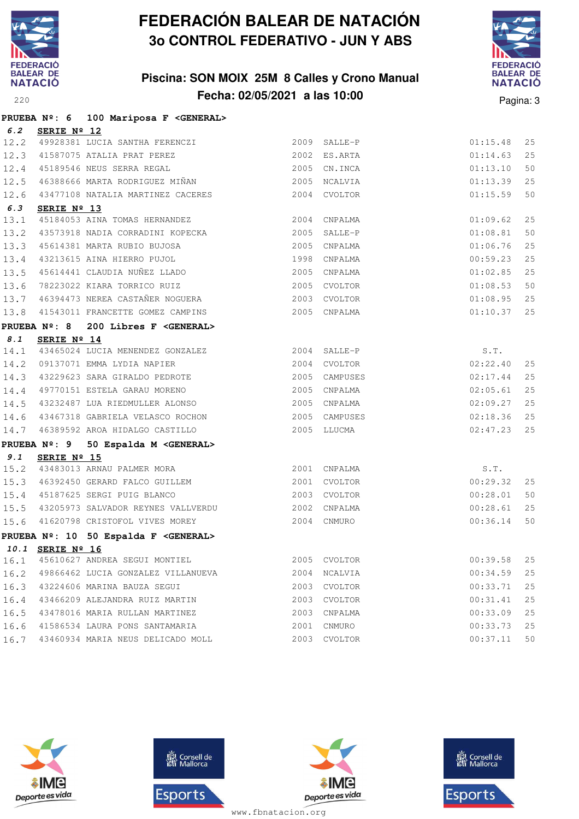

### **Piscina: SON MOIX 25M 8 Calles y Crono Manual Fecha: 02/05/2021 a las 10:00** Pagina: 3



|      |                 | PRUEBA Nº: 6 100 Mariposa F <general></general>                                                                                                                                        |              |               |                           |    |
|------|-----------------|----------------------------------------------------------------------------------------------------------------------------------------------------------------------------------------|--------------|---------------|---------------------------|----|
|      | 6.2 SERIE Nº 12 |                                                                                                                                                                                        |              |               |                           |    |
|      |                 | 12.2 49928381 LUCIA SANTHA FERENCZI                                                                                                                                                    |              | 2009 SALLE-P  | 01:15.48                  | 25 |
|      |                 | 12.3 41587075 ATALIA PRAT PEREZ 2002 ES.ARTA                                                                                                                                           |              |               | 01:14.63                  | 25 |
|      |                 | 12.4 45189546 NEUS SERRA REGAL                                                                                                                                                         |              | 2005 CN.INCA  | 01:13.10                  | 50 |
| 12.5 |                 | 46388666 MARTA RODRIGUEZ MIÑAN                                                                                                                                                         |              | 2005 NCALVIA  | 01:13.39                  | 25 |
| 12.6 |                 | 43477108 NATALIA MARTINEZ CACERES                                                                                                                                                      |              | 2004 CVOLTOR  | 01:15.59                  | 50 |
| 6.3  | SERIE Nº 13     |                                                                                                                                                                                        |              |               |                           |    |
| 13.1 |                 | 45184053 AINA TOMAS HERNANDEZ                                                                                                                                                          |              | 2004 CNPALMA  | 01:09.62                  | 25 |
| 13.2 |                 | 43573918 NADIA CORRADINI KOPECKA                                                                                                                                                       | 2005 SALLE-P |               | 01:08.81                  | 50 |
| 13.3 |                 | 45614381 MARTA RUBIO BUJOSA<br>43213615 AINA HIERRO PUJOL<br>45614441 CLAUDIA NUÑEZ LLADO                                                                                              |              | 2005 CNPALMA  | 01:06.76                  | 25 |
| 13.4 |                 |                                                                                                                                                                                        |              | 1998 CNPALMA  | 00:59.23                  | 25 |
| 13.5 |                 |                                                                                                                                                                                        |              | 2005 CNPALMA  | 01:02.85                  | 25 |
|      |                 | 13.6 78223022 KIARA TORRICO RUIZ<br>13.7 46394473 NEREA CASTAÑER NOGUERA 2003 CVOLTOR                                                                                                  |              |               | 01:08.53                  | 50 |
|      |                 |                                                                                                                                                                                        |              |               | 01:08.95 25               |    |
| 13.8 |                 | 41543011 FRANCETTE GOMEZ CAMPINS                                                                                                                                                       |              | 2005 CNPALMA  | 01:10.37 25               |    |
|      |                 | PRUEBA Nº: 8 200 Libres F <general></general>                                                                                                                                          |              |               |                           |    |
|      | 8.1 SERIE Nº 14 |                                                                                                                                                                                        |              |               |                           |    |
|      |                 |                                                                                                                                                                                        |              |               | S.T.                      |    |
|      |                 | $\begin{tabular}{lllllllllll} 14.1 & 43465024 & \text{LUCIA MENENDEZ GONZALEZ} & & & & & 2004 & SALLE-P \\ 14.2 & 09137071 & EMMA LYDIA NAPIER & & & & & 2004 & CVOLTOR \end{tabular}$ |              |               | 02:22.40                  | 25 |
|      |                 | 14.3 43229623 SARA GIRALDO PEDROTE                                                                                                                                                     |              |               | 2005 CAMPUSES<br>02:17.44 | 25 |
|      |                 | 14.4 49770151 ESTELA GARAU MORENO                                                                                                                                                      |              | 2005 CNPALMA  | 02:05.61                  | 25 |
|      |                 | 14.5 43232487 LUA RIEDMULLER ALONSO                                                                                                                                                    |              | 2005 CNPALMA  | 02:09.27                  | 25 |
|      |                 | 14.6 43467318 GABRIELA VELASCO ROCHON                                                                                                                                                  |              | 2005 CAMPUSES | $02:18.36$ 25             |    |
| 14.7 |                 | 46389592 AROA HIDALGO CASTILLO                                                                                                                                                         |              | 2005 LLUCMA   | $02:47.23$ 25             |    |
|      |                 | PRUEBA Nº: 9 50 Espalda M <general></general>                                                                                                                                          |              |               |                           |    |
| 9.1  | SERIE Nº 15     |                                                                                                                                                                                        |              |               |                           |    |
|      |                 | 15.2 43483013 ARNAU PALMER MORA                                                                                                                                                        |              | 2001 CNPALMA  | S.T.                      |    |
| 15.3 |                 | 46392450 GERARD FALCO GUILLEM                                                                                                                                                          |              | 2001 CVOLTOR  | 00:29.32                  | 25 |
|      |                 | 15.4 45187625 SERGI PUIG BLANCO                                                                                                                                                        | 2003 CVOLTOR |               | 00:28.01                  | 50 |
|      |                 | 15.5 43205973 SALVADOR REYNES VALLVERDU                                                                                                                                                |              | 2002 CNPALMA  | 00:28.61                  | 25 |
|      |                 | 15.6 41620798 CRISTOFOL VIVES MOREY                                                                                                                                                    |              | 2004 CNMURO   | 00:36.14                  | 50 |
|      |                 | PRUEBA Nº: 10 50 Espalda F <general></general>                                                                                                                                         |              |               |                           |    |
|      |                 | 10.1 SERIE Nº 16                                                                                                                                                                       |              |               |                           |    |
| 16.1 |                 | 45610627 ANDREA SEGUI MONTIEL                                                                                                                                                          |              | 2005 CVOLTOR  | 00:39.58                  | 25 |
| 16.2 |                 | 49866462 LUCIA GONZALEZ VILLANUEVA                                                                                                                                                     |              | 2004 NCALVIA  | 00:34.59                  | 25 |
| 16.3 |                 | 43224606 MARINA BAUZA SEGUI                                                                                                                                                            |              | 2003 CVOLTOR  | 00:33.71                  | 25 |
| 16.4 |                 | 43466209 ALEJANDRA RUIZ MARTIN                                                                                                                                                         |              | 2003 CVOLTOR  | 00:31.41                  | 25 |
| 16.5 |                 | 43478016 MARIA RULLAN MARTINEZ                                                                                                                                                         | 2003         | CNPALMA       | 00:33.09                  | 25 |
| 16.6 |                 | 41586534 LAURA PONS SANTAMARIA                                                                                                                                                         |              | 2001 CNMURO   | 00:33.73                  | 25 |
| 16.7 |                 | 43460934 MARIA NEUS DELICADO MOLL                                                                                                                                                      |              | 2003 CVOLTOR  | 00:37.11                  | 50 |







**感** Consell de Esports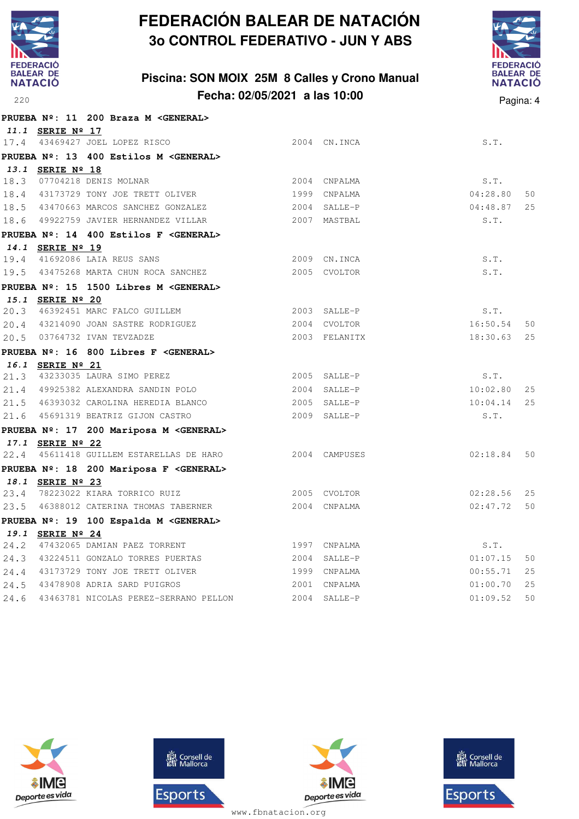

### **Piscina: SON MOIX 25M 8 Calles y Crono Manual Fecha: 02/05/2021 a las 10:00**<sup>220</sup> Pagina: 4



|      |                  | PRUEBA Nº: 11 200 Braza M < GENERAL>             |                |          |     |
|------|------------------|--------------------------------------------------|----------------|----------|-----|
|      | 11.1 SERIE Nº 17 |                                                  |                |          |     |
|      |                  | 17.4 43469427 JOEL LOPEZ RISCO                   | 2004 CN. INCA  | S.T.     |     |
|      |                  | PRUEBA Nº: 13 400 Estilos M < GENERAL>           |                |          |     |
|      | 13.1 SERIE Nº 18 |                                                  |                |          |     |
|      |                  | 18.3 07704218 DENIS MOLNAR                       | 2004 CNPALMA   | S.T.     |     |
|      |                  | 18.4 43173729 TONY JOE TRETT OLIVER              | 1999 CNPALMA   | 04:28.80 | 50  |
|      |                  | 18.5 43470663 MARCOS SANCHEZ GONZALEZ            | 2004 SALLE-P   | 04:48.87 | 25  |
|      |                  | 18.6 49922759 JAVIER HERNANDEZ VILLAR            | 2007 MASTBAL   | S.T.     |     |
|      |                  | PRUEBA Nº: 14 400 Estilos F < GENERAL>           |                |          |     |
|      | 14.1 SERIE Nº 19 |                                                  |                |          |     |
|      |                  | 19.4 41692086 LAIA REUS SANS                     | 2009 CN. INCA  | S.T.     |     |
|      |                  | 19.5 43475268 MARTA CHUN ROCA SANCHEZ            | 2005 CVOLTOR   | S.T.     |     |
|      |                  | PRUEBA Nº: 15 1500 Libres M < GENERAL>           |                |          |     |
|      | 15.1 SERIE Nº 20 | 20.3 46392451 MARC FALCO GUILLEM                 | 2003 SALLE-P   | S.T.     |     |
|      |                  | 20.4 43214090 JOAN SASTRE RODRIGUEZ              | 2004 CVOLTOR   | 16:50.54 | 50  |
|      |                  | 20.5 03764732 IVAN TEVZADZE                      | 2003 FELANITX  | 18:30.63 | 25  |
|      |                  |                                                  |                |          |     |
|      |                  | PRUEBA Nº: 16 800 Libres F < GENERAL>            |                |          |     |
|      | 16.1 SERIE Nº 21 | 21.3 43233035 LAURA SIMO PEREZ                   | 2005 SALLE-P   | S.T.     |     |
|      |                  | 21.4 49925382 ALEXANDRA SANDIN POLO              | 2004 SALLE-P   | 10:02.80 | 25  |
|      |                  | 21.5 46393032 CAROLINA HEREDIA BLANCO            | 2005 SALLE-P   | 10:04.14 | 25  |
|      |                  | 21.6 45691319 BEATRIZ GIJON CASTRO               | 2009 SALLE-P   | S.T.     |     |
|      |                  | PRUEBA Nº: 17 200 Mariposa M <general></general> |                |          |     |
|      | 17.1 SERIE Nº 22 |                                                  |                |          |     |
|      |                  | 22.4 45611418 GUILLEM ESTARELLAS DE HARO         | 2004 CAMPUSES  | 02:18.84 | 50  |
|      |                  | PRUEBA Nº: 18 200 Mariposa F <general></general> |                |          |     |
|      | 18.1 SERIE Nº 23 |                                                  |                |          |     |
|      |                  | 23.4 78223022 KIARA TORRICO RUIZ                 | 2005 CVOLTOR   | 02:28.56 | 2.5 |
|      |                  | 23.5 46388012 CATERINA THOMAS TABERNER           | 2004 CNPALMA   | 02:47.72 | 50  |
|      |                  | PRUEBA Nº: 19 100 Espalda M <general></general>  |                |          |     |
|      | 19.1 SERIE Nº 24 |                                                  |                |          |     |
|      |                  | 24.2 47432065 DAMIAN PAEZ TORRENT                | 1997 CNPALMA   | S.T.     |     |
|      |                  | 24.3 43224511 GONZALO TORRES PUERTAS             | 2004 SALLE-P   | 01:07.15 | 50  |
|      |                  | 24.4 43173729 TONY JOE TRETT OLIVER              | 1999 CNPALMA   | 00:55.71 | 25  |
|      |                  | 24.5 43478908 ADRIA SARD PUIGROS                 | 2001 CNPALMA   | 01:00.70 | 25  |
| 24.6 |                  | 43463781 NICOLAS PEREZ-SERRANO PELLON            | $2004$ SALLE-P | 01:09.52 | 50  |







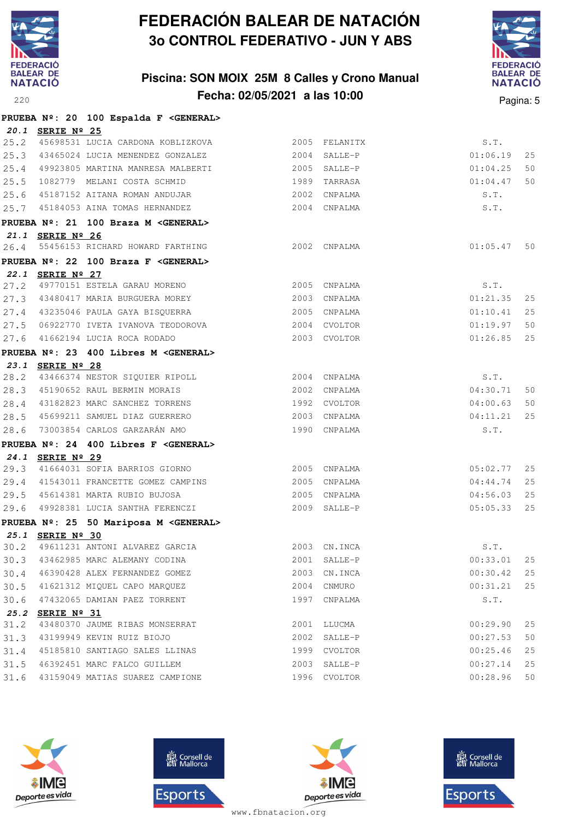

### **Piscina: SON MOIX 25M 8 Calles y Crono Manual Fecha: 02/05/2021 a las 10:00** Pagina: 5



|      |                  | PRUEBA Nº: 20 100 Espalda F <general></general> |              |               |          |    |
|------|------------------|-------------------------------------------------|--------------|---------------|----------|----|
|      | 20.1 SERIE Nº 25 |                                                 |              |               |          |    |
|      |                  | 25.2 45698531 LUCIA CARDONA KOBLIZKOVA          |              | 2005 FELANITX | S.T.     |    |
|      |                  | 25.3 43465024 LUCIA MENENDEZ GONZALEZ           |              | 2004 SALLE-P  | 01:06.19 | 25 |
| 25.4 |                  | 49923805 MARTINA MANRESA MALBERTI               |              | 2005 SALLE-P  | 01:04.25 | 50 |
|      |                  | 25.5 1082779 MELANI COSTA SCHMID                |              | 1989 TARRASA  | 01:04.47 | 50 |
|      |                  | 25.6 45187152 AITANA ROMAN ANDUJAR              |              | 2002 CNPALMA  | S.T.     |    |
|      |                  | 25.7 45184053 AINA TOMAS HERNANDEZ              |              | 2004 CNPALMA  | S.T.     |    |
|      |                  | PRUEBA Nº: 21 100 Braza M <general></general>   |              |               |          |    |
|      | 21.1 SERIE Nº 26 |                                                 |              |               |          |    |
| 26.4 |                  | 55456153 RICHARD HOWARD FARTHING                |              | 2002 CNPALMA  | 01:05.47 | 50 |
|      |                  | PRUEBA Nº: 22 100 Braza F < GENERAL>            |              |               |          |    |
|      | 22.1 SERIE Nº 27 |                                                 |              |               |          |    |
| 27.2 |                  | 49770151 ESTELA GARAU MORENO                    |              | 2005 CNPALMA  | S.T.     |    |
|      |                  | 27.3 43480417 MARIA BURGUERA MOREY              |              | 2003 CNPALMA  | 01:21.35 | 25 |
|      |                  | 27.4 43235046 PAULA GAYA BISQUERRA              |              | 2005 CNPALMA  | 01:10.41 | 25 |
|      |                  | 27.5 06922770 IVETA IVANOVA TEODOROVA           |              | 2004 CVOLTOR  | 01:19.97 | 50 |
| 27.6 |                  | 41662194 LUCIA ROCA RODADO                      |              | 2003 CVOLTOR  | 01:26.85 | 25 |
|      |                  | PRUEBA Nº: 23 400 Libres M <general></general>  |              |               |          |    |
|      | 23.1 SERIE Nº 28 |                                                 |              |               |          |    |
|      |                  | 28.2 43466374 NESTOR SIQUIER RIPOLL             |              | 2004 CNPALMA  | S.T.     |    |
|      |                  | 28.3 45190652 RAUL BERMIN MORAIS                |              | 2002 CNPALMA  | 04:30.71 | 50 |
|      |                  | 28.4 43182823 MARC SANCHEZ TORRENS              | 1992 CVOLTOR |               | 04:00.63 | 50 |
|      |                  | 28.5 45699211 SAMUEL DIAZ GUERRERO              |              | 2003 CNPALMA  | 04:11.21 | 25 |
| 28.6 |                  | 73003854 CARLOS GARZARÁN AMO                    |              | 1990 CNPALMA  | S.T.     |    |
|      |                  | PRUEBA Nº: 24 400 Libres F <general></general>  |              |               |          |    |
|      | 24.1 SERIE Nº 29 |                                                 |              |               |          |    |
| 29.3 |                  | 41664031 SOFIA BARRIOS GIORNO                   |              | 2005 CNPALMA  | 05:02.77 | 25 |
|      |                  | 29.4 41543011 FRANCETTE GOMEZ CAMPINS           |              | 2005 CNPALMA  | 04:44.74 | 25 |
|      |                  | 29.5 45614381 MARTA RUBIO BUJOSA                |              | 2005 CNPALMA  | 04:56.03 | 25 |
| 29.6 |                  | 49928381 LUCIA SANTHA FERENCZI                  |              | 2009 SALLE-P  | 05:05.33 | 25 |
|      |                  | PRUEBA Nº: 25 50 Mariposa M <general></general> |              |               |          |    |
|      | 25.1 SERIE Nº 30 |                                                 |              |               |          |    |
| 30.2 |                  | 49611231 ANTONI ALVAREZ GARCIA                  |              | 2003 CN. INCA | S.T.     |    |
| 30.3 |                  | 43462985 MARC ALEMANY CODINA                    |              | 2001 SALLE-P  | 00:33.01 | 25 |
| 30.4 |                  | 46390428 ALEX FERNANDEZ GOMEZ                   | 2003         | CN.INCA       | 00:30.42 | 25 |
| 30.5 |                  | 41621312 MIQUEL CAPO MARQUEZ                    |              | 2004 CNMURO   | 00:31.21 | 25 |
| 30.6 |                  | 47432065 DAMIAN PAEZ TORRENT                    | 1997         | CNPALMA       | S.T.     |    |
| 25.2 | SERIE Nº 31      |                                                 |              |               |          |    |
| 31.2 |                  | 43480370 JAUME RIBAS MONSERRAT                  | 2001         | LLUCMA        | 00:29.90 | 25 |
| 31.3 |                  | 43199949 KEVIN RUIZ BIOJO                       |              | 2002 SALLE-P  | 00:27.53 | 50 |
| 31.4 |                  | 45185810 SANTIAGO SALES LLINAS                  |              | 1999 CVOLTOR  | 00:25.46 | 25 |
| 31.5 |                  | 46392451 MARC FALCO GUILLEM                     |              | 2003 SALLE-P  | 00:27.14 | 25 |
| 31.6 |                  | 43159049 MATIAS SUAREZ CAMPIONE                 |              | 1996 CVOLTOR  | 00:28.96 | 50 |







**感** Consell de Esports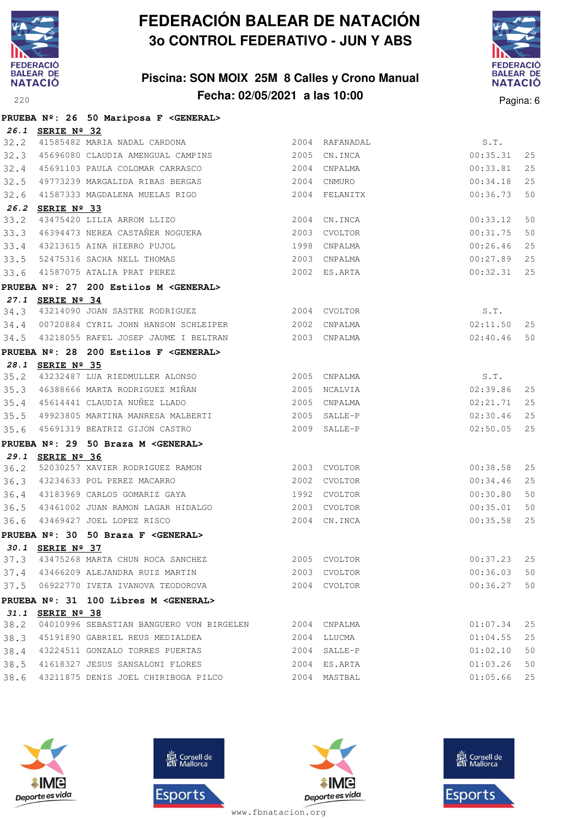

### **Piscina: SON MOIX 25M 8 Calles y Crono Manual Fecha: 02/05/2021 a las 10:00**<sup>220</sup> Pagina: 6



|      |                  | PRUEBA Nº: 26 50 Mariposa F < GENERAL>                |      |                |          |    |
|------|------------------|-------------------------------------------------------|------|----------------|----------|----|
|      | 26.1 SERIE Nº 32 |                                                       |      |                |          |    |
|      |                  | 32.2 41585482 MARIA NADAL CARDONA                     |      | 2004 RAFANADAL | S.T.     |    |
| 32.3 |                  | 45696080 CLAUDIA AMENGUAL CAMPINS                     |      | 2005 CN.INCA   | 00:35.31 | 25 |
| 32.4 |                  | 45691103 PAULA COLOMAR CARRASCO                       | 2004 | CNPALMA        | 00:33.81 | 25 |
| 32.5 |                  | 49773239 MARGALIDA RIBAS BERGAS                       |      | 2004 CNMURO    | 00:34.18 | 25 |
| 32.6 |                  | 41587333 MAGDALENA MUELAS RIGO                        |      | 2004 FELANITX  | 00:36.73 | 50 |
|      | 26.2 SERIE Nº 33 |                                                       |      |                |          |    |
| 33.2 |                  | 43475420 LILIA ARROM LLIZO                            |      | 2004 CN.INCA   | 00:33.12 | 50 |
| 33.3 |                  | 46394473 NEREA CASTAÑER NOGUERA                       |      | 2003 CVOLTOR   | 00:31.75 | 50 |
| 33.4 |                  | 43213615 AINA HIERRO PUJOL                            | 1998 | CNPALMA        | 00:26.46 | 25 |
| 33.5 |                  | 52475316 SACHA NELL THOMAS                            |      | 2003 CNPALMA   | 00:27.89 | 25 |
| 33.6 |                  | 41587075 ATALIA PRAT PEREZ                            |      | 2002 ES.ARTA   | 00:32.31 | 25 |
|      |                  | PRUEBA Nº: 27 200 Estilos M <general></general>       |      |                |          |    |
|      | 27.1 SERIE Nº 34 |                                                       |      |                |          |    |
|      |                  | 34.3 43214090 JOAN SASTRE RODRIGUEZ 2004 CVOLTOR      |      |                | S.T.     |    |
|      |                  | 34.4 00720884 CYRIL JOHN HANSON SCHLEIPER             |      | 2002 CNPALMA   | 02:11.50 | 25 |
|      |                  |                                                       |      |                | 02:40.46 | 50 |
|      |                  | PRUEBA Nº: 28 200 Estilos F <general></general>       |      |                |          |    |
|      | 28.1 SERIE Nº 35 |                                                       |      |                |          |    |
|      |                  | 35.2 43232487 LUA RIEDMULLER ALONSO 2005 CNPALMA      |      |                | S.T.     |    |
| 35.3 |                  | 46388666 MARTA RODRIGUEZ MIÑAN                        |      | 2005 NCALVIA   | 02:39.86 | 25 |
|      |                  | 35.4 45614441 CLAUDIA NUÑEZ LLADO                     |      | 2005 CNPALMA   | 02:21.71 | 25 |
|      |                  | 35.5 49923805 MARTINA MANRESA MALBERTI                |      | 2005 SALLE-P   | 02:30.46 | 25 |
| 35.6 |                  | 45691319 BEATRIZ GIJON CASTRO                         |      | 2009 SALLE-P   | 02:50.05 | 25 |
|      |                  | PRUEBA Nº: 29 50 Braza M <general></general>          |      |                |          |    |
|      | 29.1 SERIE Nº 36 |                                                       |      |                |          |    |
| 36.2 |                  | 52030257 XAVIER RODRIGUEZ RAMON                       |      | 2003 CVOLTOR   | 00:38.58 | 25 |
|      |                  | 36.3 43234633 POL PEREZ MACARRO                       |      | 2002 CVOLTOR   | 00:34.46 | 25 |
| 36.4 |                  | 43183969 CARLOS GOMARIZ GAYA                          |      | 1992 CVOLTOR   | 00:30.80 | 50 |
| 36.5 |                  | 43461002 JUAN RAMON LAGAR HIDALGO                     |      | 2003 CVOLTOR   | 00:35.01 | 50 |
| 36.6 |                  | 43469427 JOEL LOPEZ RISCO                             |      | 2004 CN. INCA  | 00:35.58 | 25 |
|      |                  | PRUEBA Nº: 30 50 Braza F < GENERAL>                   |      |                |          |    |
|      | 30.1 SERIE Nº 37 |                                                       |      |                |          |    |
| 37.3 |                  | 43475268 MARTA CHUN ROCA SANCHEZ                      |      | 2005 CVOLTOR   | 00:37.23 | 25 |
|      |                  | 37.4 43466209 ALEJANDRA RUIZ MARTIN                   |      | 2003 CVOLTOR   | 00:36.03 | 50 |
|      |                  | 37.5 06922770 IVETA IVANOVA TEODOROVA                 |      | 2004 CVOLTOR   | 00:36.27 | 50 |
|      |                  | PRUEBA Nº: 31 100 Libres M <general></general>        |      |                |          |    |
|      | 31.1 SERIE Nº 38 |                                                       |      |                |          |    |
| 38.2 |                  | 04010996 SEBASTIAN BANGUERO VON BIRGELEN 2004 CNPALMA |      |                | 01:07.34 | 25 |
| 38.3 |                  | 45191890 GABRIEL REUS MEDIALDEA                       |      | 2004 LLUCMA    | 01:04.55 | 25 |
| 38.4 |                  | 43224511 GONZALO TORRES PUERTAS                       |      | 2004 SALLE-P   | 01:02.10 | 50 |
| 38.5 |                  | 41618327 JESUS SANSALONI FLORES                       |      | 2004 ES.ARTA   | 01:03.26 | 50 |
| 38.6 |                  | 43211875 DENIS JOEL CHIRIBOGA PILCO                   |      | 2004 MASTBAL   | 01:05.66 | 25 |







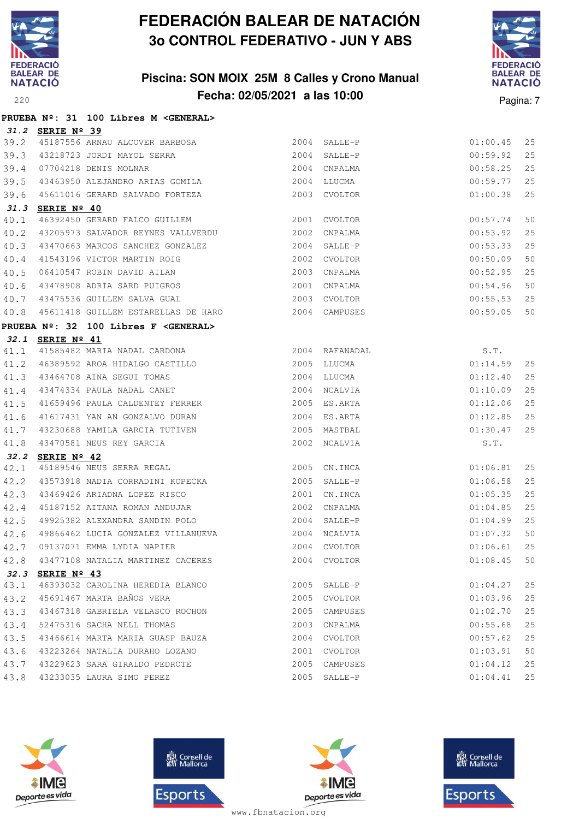

**PRUEBA Nº: 31 100 Libres M <GENERAL>**

# **FEDERACIÓN BALEAR DE NATACIÓN 3o CONTROL FEDERATIVO - JUN Y ABS**

### **Piscina: SON MOIX 25M 8 Calles y Crono Manual Fecha: 02/05/2021 a las 10:00** Pagina: 7



|      | 31.2 SERIE Nº 39     |                                                                                                                    |      |               |          |    |
|------|----------------------|--------------------------------------------------------------------------------------------------------------------|------|---------------|----------|----|
| 39.2 |                      | 45187556 ARNAU ALCOVER BARBOSA                                                                                     |      | 2004 SALLE-P  | 01:00.45 | 25 |
| 39.3 |                      |                                                                                                                    |      |               | 00:59.92 | 25 |
| 39.4 |                      |                                                                                                                    |      |               | 00:58.25 | 25 |
| 39.5 |                      |                                                                                                                    |      |               | 00:59.77 | 25 |
| 39.6 |                      | 45611016 GERARD SALVADO FORTEZA 2003 CVOLTOR                                                                       |      |               | 01:00.38 | 25 |
|      | 31.3 SERIE Nº 40     |                                                                                                                    |      |               |          |    |
| 40.1 |                      | 46392450 GERARD FALCO GUILLEM 2001                                                                                 |      | CVOLTOR       | 00:57.74 | 50 |
| 40.2 |                      | 43205973 SALVADOR REYNES VALLVERDU                                                                                 |      | 2002 CNPALMA  | 00:53.92 | 25 |
| 40.3 |                      | 43470663 MARCOS SANCHEZ GONZALEZ 2004 SALLE-P                                                                      |      |               | 00:53.33 | 25 |
| 40.4 |                      |                                                                                                                    |      |               | 00:50.09 | 50 |
| 40.5 |                      |                                                                                                                    |      |               | 00:52.95 | 25 |
| 40.6 |                      | 11543196 VICTOR MARTIN ROIG<br>16410547 ROBIN DAVID AILAN 2003 CNPALMA<br>13478908 ADRIA SARD PUIGROS 2001 CNPALMA |      |               | 00:54.96 | 50 |
| 40.7 |                      | 43475536 GUILLEM SALVA GUAL CONTRACTED MANAGEMENT CONTRACTED AND MODEL OF A SALVA                                  |      |               | 00:55.53 | 25 |
| 40.8 |                      | 45611418 GUILLEM ESTARELLAS DE HARO 2004 CAMPUSES                                                                  |      |               | 00:59.05 | 50 |
|      |                      | PRUEBA Nº: 32 100 Libres F <general></general>                                                                     |      |               |          |    |
|      | 32.1 SERIE Nº 41     |                                                                                                                    |      |               |          |    |
| 41.1 |                      |                                                                                                                    |      |               | S.T.     |    |
| 41.2 |                      | 3ERIE Nº 41<br>41585482 MARIA NADAL CARDONA (2004 RAFANADAL)<br>46389592 AROA HIDALGO CASTILLO (2005 LLUCMA)       |      |               | 01:14.59 | 25 |
| 41.3 |                      |                                                                                                                    |      |               | 01:12.40 | 25 |
| 41.4 |                      |                                                                                                                    |      | 2004 NCALVIA  | 01:10.09 | 25 |
| 41.5 |                      | 41659496 PAULA CALDENTEY FERRER 2005 ES.ARTA                                                                       |      |               | 01:12.06 | 25 |
| 41.6 |                      | 41617431 YAN AN GONZALVO DURAN 2004 ES.ARTA                                                                        |      |               | 01:12.85 | 25 |
| 41.7 |                      |                                                                                                                    |      |               | 01:30.47 | 25 |
| 41.8 |                      |                                                                                                                    |      |               | S.T.     |    |
| 32.2 | SERIE $N^{\circ}$ 42 |                                                                                                                    |      |               |          |    |
| 42.1 |                      | 2005 CN.INCA<br>45189546 NEUS SERRA REGAL                                                                          |      |               | 01:06.81 | 25 |
| 42.2 |                      | 43573918 NADIA CORRADINI KOPECKA 2005 SALLE-P                                                                      |      |               | 01:06.58 | 25 |
| 42.3 |                      |                                                                                                                    |      |               | 01:05.35 | 25 |
| 42.4 |                      |                                                                                                                    |      |               | 01:04.85 | 25 |
| 42.5 |                      | 49925382 ALEXANDRA SANDIN POLO 2004 SALLE-P                                                                        |      |               | 01:04.99 | 25 |
| 42.6 |                      | 49866462 LUCIA GONZALEZ VILLANUEVA 2004 NCALVIA                                                                    |      |               | 01:07.32 | 50 |
|      |                      | 42.7 09137071 EMMA LYDIA NAPIER 2004 CVOLTOR<br>42.8 43477108 NATALIA MARTINEZ CACERES 2004 CVOLTOR                |      |               | 01:06.61 | 25 |
|      |                      |                                                                                                                    |      | $01:08.45$ 50 |          |    |
| 32.3 | SERIE $N^{\circ}$ 43 |                                                                                                                    |      |               |          |    |
| 43.1 |                      | 46393032 CAROLINA HEREDIA BLANCO                                                                                   | 2005 | SALLE-P       | 01:04.27 | 25 |
| 43.2 |                      | 45691467 MARTA BAÑOS VERA                                                                                          | 2005 | CVOLTOR       | 01:03.96 | 25 |
| 43.3 |                      | 43467318 GABRIELA VELASCO ROCHON                                                                                   | 2005 | CAMPUSES      | 01:02.70 | 25 |
| 43.4 |                      | 52475316 SACHA NELL THOMAS                                                                                         | 2003 | CNPALMA       | 00:55.68 | 25 |
| 43.5 |                      | 43466614 MARTA MARIA GUASP BAUZA                                                                                   | 2004 | CVOLTOR       | 00:57.62 | 25 |
| 43.6 |                      | 43223264 NATALIA DURAHO LOZANO                                                                                     | 2001 | CVOLTOR       | 01:03.91 | 50 |
| 43.7 |                      | 43229623 SARA GIRALDO PEDROTE                                                                                      | 2005 | CAMPUSES      | 01:04.12 | 25 |
| 43.8 |                      | 43233035 LAURA SIMO PEREZ                                                                                          | 2005 | SALLE-P       | 01:04.41 | 25 |







**感** Consell de Esports